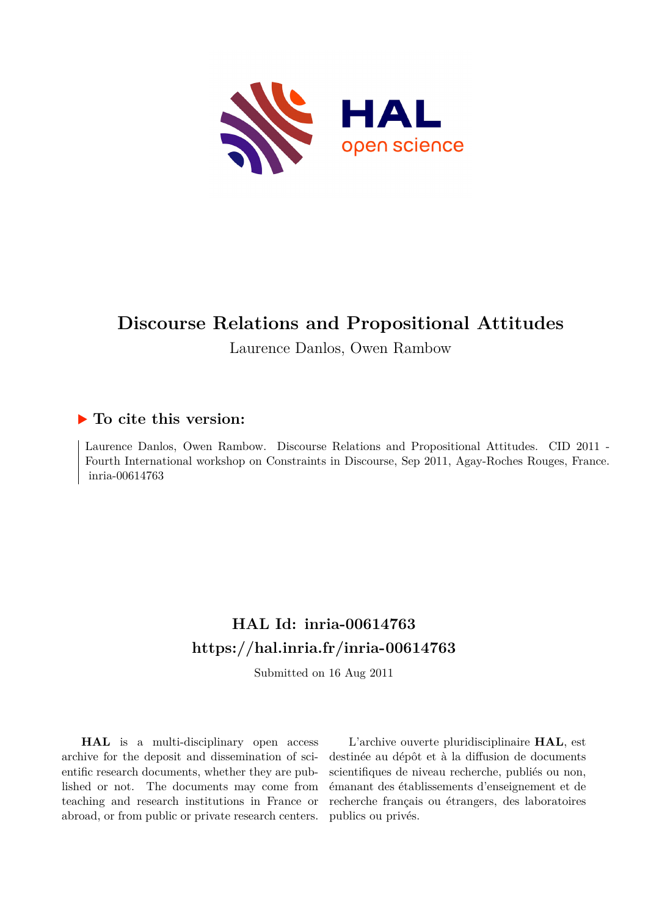

# **Discourse Relations and Propositional Attitudes**

Laurence Danlos, Owen Rambow

## **To cite this version:**

Laurence Danlos, Owen Rambow. Discourse Relations and Propositional Attitudes. CID 2011 - Fourth International workshop on Constraints in Discourse, Sep 2011, Agay-Roches Rouges, France. inria-00614763

# **HAL Id: inria-00614763 <https://hal.inria.fr/inria-00614763>**

Submitted on 16 Aug 2011

**HAL** is a multi-disciplinary open access archive for the deposit and dissemination of scientific research documents, whether they are published or not. The documents may come from teaching and research institutions in France or abroad, or from public or private research centers.

L'archive ouverte pluridisciplinaire **HAL**, est destinée au dépôt et à la diffusion de documents scientifiques de niveau recherche, publiés ou non, émanant des établissements d'enseignement et de recherche français ou étrangers, des laboratoires publics ou privés.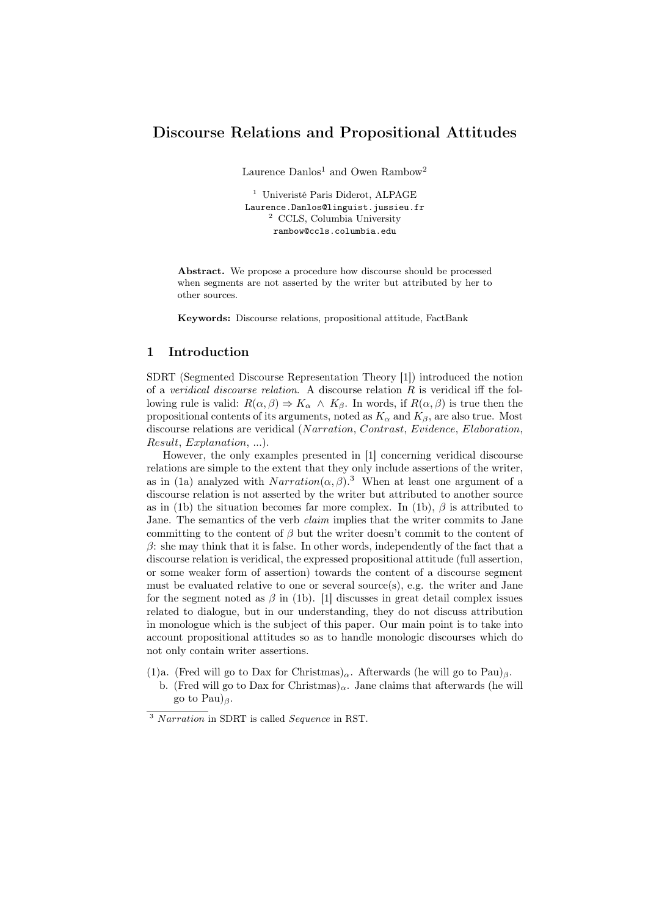## Discourse Relations and Propositional Attitudes

Laurence  $Dan \log^1$  and Owen Rambow<sup>2</sup>

<sup>1</sup> Univeristé Paris Diderot, ALPAGE Laurence.Danlos@linguist.jussieu.fr <sup>2</sup> CCLS, Columbia University rambow@ccls.columbia.edu

Abstract. We propose a procedure how discourse should be processed when segments are not asserted by the writer but attributed by her to other sources.

Keywords: Discourse relations, propositional attitude, FactBank

## 1 Introduction

SDRT (Segmented Discourse Representation Theory [1]) introduced the notion of a *veridical discourse relation*. A discourse relation  $R$  is veridical iff the following rule is valid:  $R(\alpha, \beta) \Rightarrow K_{\alpha} \wedge K_{\beta}$ . In words, if  $R(\alpha, \beta)$  is true then the propositional contents of its arguments, noted as  $K_{\alpha}$  and  $K_{\beta}$ , are also true. Most discourse relations are veridical (Narration, Contrast, Evidence, Elaboration, Result, Explanation, ...).

However, the only examples presented in [1] concerning veridical discourse relations are simple to the extent that they only include assertions of the writer, as in (1a) analyzed with  $Narration(\alpha, \beta)$ .<sup>3</sup> When at least one argument of a discourse relation is not asserted by the writer but attributed to another source as in (1b) the situation becomes far more complex. In (1b),  $\beta$  is attributed to Jane. The semantics of the verb *claim* implies that the writer commits to Jane committing to the content of  $\beta$  but the writer doesn't commit to the content of  $\beta$ : she may think that it is false. In other words, independently of the fact that a discourse relation is veridical, the expressed propositional attitude (full assertion, or some weaker form of assertion) towards the content of a discourse segment must be evaluated relative to one or several source(s), e.g. the writer and Jane for the segment noted as  $\beta$  in (1b). [1] discusses in great detail complex issues related to dialogue, but in our understanding, they do not discuss attribution in monologue which is the subject of this paper. Our main point is to take into account propositional attitudes so as to handle monologic discourses which do not only contain writer assertions.

- (1)a. (Fred will go to Dax for Christmas)<sub>α</sub>. Afterwards (he will go to Pau)<sub>β</sub>.
- b. (Fred will go to Dax for Christmas)<sub>α</sub>. Jane claims that afterwards (he will go to Pau) $\beta$ .

<sup>&</sup>lt;sup>3</sup> Narration in SDRT is called Sequence in RST.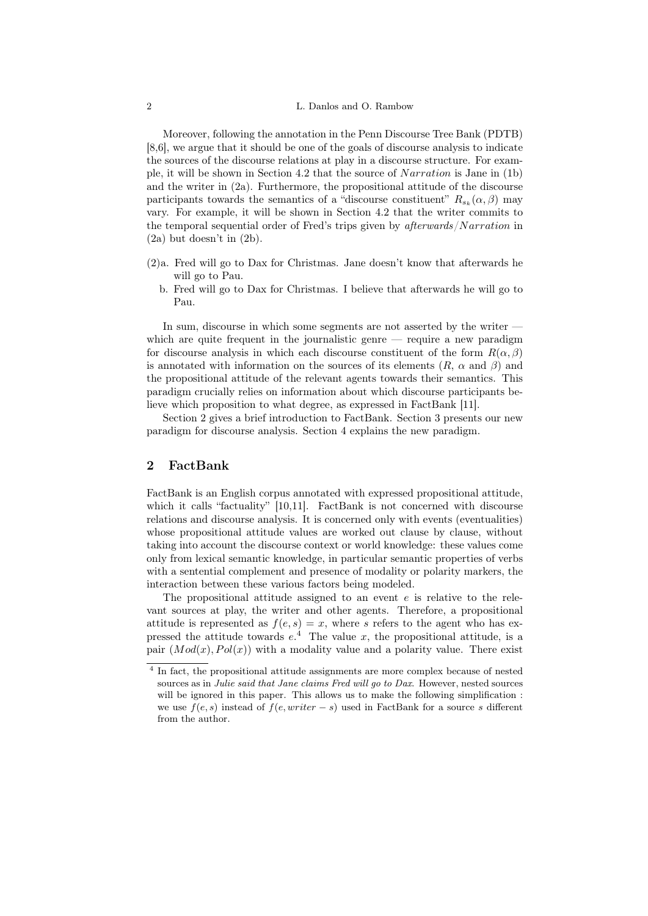### 2 L. Danlos and O. Rambow

Moreover, following the annotation in the Penn Discourse Tree Bank (PDTB) [8,6], we argue that it should be one of the goals of discourse analysis to indicate the sources of the discourse relations at play in a discourse structure. For example, it will be shown in Section 4.2 that the source of Narration is Jane in  $(1b)$ and the writer in  $(2a)$ . Furthermore, the propositional attitude of the discourse participants towards the semantics of a "discourse constituent"  $R_{s_k}(\alpha, \beta)$  may vary. For example, it will be shown in Section 4.2 that the writer commits to the temporal sequential order of Fred's trips given by  $\emph{afterwards}/N \emph{arration}$  in (2a) but doesn't in (2b).

- (2)a. Fred will go to Dax for Christmas. Jane doesn't know that afterwards he will go to Pau.
	- b. Fred will go to Dax for Christmas. I believe that afterwards he will go to Pau.

In sum, discourse in which some segments are not asserted by the writer which are quite frequent in the journalistic genre  $-$  require a new paradigm for discourse analysis in which each discourse constituent of the form  $R(\alpha, \beta)$ is annotated with information on the sources of its elements  $(R, \alpha \text{ and } \beta)$  and the propositional attitude of the relevant agents towards their semantics. This paradigm crucially relies on information about which discourse participants believe which proposition to what degree, as expressed in FactBank [11].

Section 2 gives a brief introduction to FactBank. Section 3 presents our new paradigm for discourse analysis. Section 4 explains the new paradigm.

## 2 FactBank

FactBank is an English corpus annotated with expressed propositional attitude, which it calls "factuality" [10,11]. FactBank is not concerned with discourse relations and discourse analysis. It is concerned only with events (eventualities) whose propositional attitude values are worked out clause by clause, without taking into account the discourse context or world knowledge: these values come only from lexical semantic knowledge, in particular semantic properties of verbs with a sentential complement and presence of modality or polarity markers, the interaction between these various factors being modeled.

The propositional attitude assigned to an event  $e$  is relative to the relevant sources at play, the writer and other agents. Therefore, a propositional attitude is represented as  $f(e, s) = x$ , where s refers to the agent who has expressed the attitude towards  $e^{4}$ . The value x, the propositional attitude, is a pair  $(Mod(x), Pol(x))$  with a modality value and a polarity value. There exist

<sup>&</sup>lt;sup>4</sup> In fact, the propositional attitude assignments are more complex because of nested sources as in Julie said that Jane claims Fred will go to Dax. However, nested sources will be ignored in this paper. This allows us to make the following simplification : we use  $f(e, s)$  instead of  $f(e, writer - s)$  used in FactBank for a source s different from the author.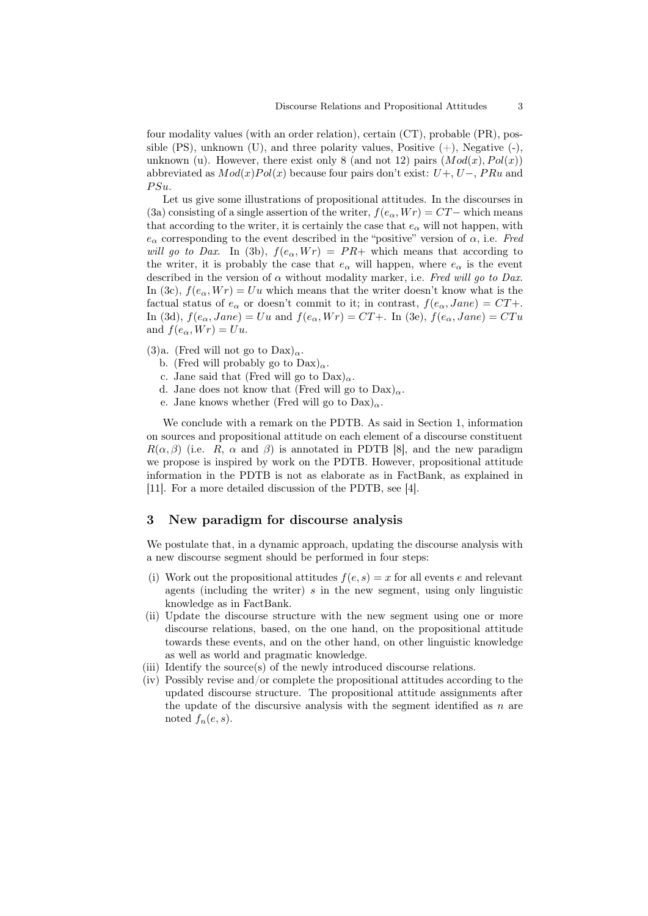four modality values (with an order relation), certain (CT), probable (PR), possible  $(PS)$ , unknown  $(U)$ , and three polarity values, Positive  $(+)$ , Negative  $(-)$ , unknown (u). However, there exist only 8 (and not 12) pairs  $(Mod(x), Pol(x))$ abbreviated as  $Mod(x)Pol(x)$  because four pairs don't exist:  $U+, U-, PRu$  and  $PSu$ .

Let us give some illustrations of propositional attitudes. In the discourses in (3a) consisting of a single assertion of the writer,  $f(e_\alpha, Wr) = CT-$  which means that according to the writer, it is certainly the case that  $e_{\alpha}$  will not happen, with  $e_{\alpha}$  corresponding to the event described in the "positive" version of  $\alpha$ , i.e. Fred will go to Dax. In (3b),  $f(e_{\alpha}, Wr) = PR+$  which means that according to the writer, it is probably the case that  $e_{\alpha}$  will happen, where  $e_{\alpha}$  is the event described in the version of  $\alpha$  without modality marker, i.e. Fred will go to Dax. In (3c),  $f(e_\alpha, Wr) = Uu$  which means that the writer doesn't know what is the factual status of  $e_{\alpha}$  or doesn't commit to it; in contrast,  $f(e_{\alpha}, Jane) = CT +$ . In (3d),  $f(e_\alpha, Jane) = Uu$  and  $f(e_\alpha, Wr) = CT +$ . In (3e),  $f(e_\alpha, Jane) = CTu$ and  $f(e_{\alpha}, Wr) = Uu$ .

- (3)a. (Fred will not go to  $Dax)_{\alpha}$ .
	- b. (Fred will probably go to  $\text{Dax}\text{)}_{\alpha}$ .
	- c. Jane said that (Fred will go to  $\text{Dax}\text{)}_{\alpha}$ .
	- d. Jane does not know that (Fred will go to  $\text{Dax}\text{)}_{\alpha}$ .
	- e. Jane knows whether (Fred will go to  $Dax)_{\alpha}$ .

We conclude with a remark on the PDTB. As said in Section 1, information on sources and propositional attitude on each element of a discourse constituent  $R(\alpha, \beta)$  (i.e. R,  $\alpha$  and  $\beta$ ) is annotated in PDTB [8], and the new paradigm we propose is inspired by work on the PDTB. However, propositional attitude information in the PDTB is not as elaborate as in FactBank, as explained in [11]. For a more detailed discussion of the PDTB, see [4].

## 3 New paradigm for discourse analysis

We postulate that, in a dynamic approach, updating the discourse analysis with a new discourse segment should be performed in four steps:

- (i) Work out the propositional attitudes  $f(e, s) = x$  for all events e and relevant agents (including the writer)  $s$  in the new segment, using only linguistic knowledge as in FactBank.
- (ii) Update the discourse structure with the new segment using one or more discourse relations, based, on the one hand, on the propositional attitude towards these events, and on the other hand, on other linguistic knowledge as well as world and pragmatic knowledge.
- (iii) Identify the source(s) of the newly introduced discourse relations.
- (iv) Possibly revise and/or complete the propositional attitudes according to the updated discourse structure. The propositional attitude assignments after the update of the discursive analysis with the segment identified as  $n$  are noted  $f_n(e, s)$ .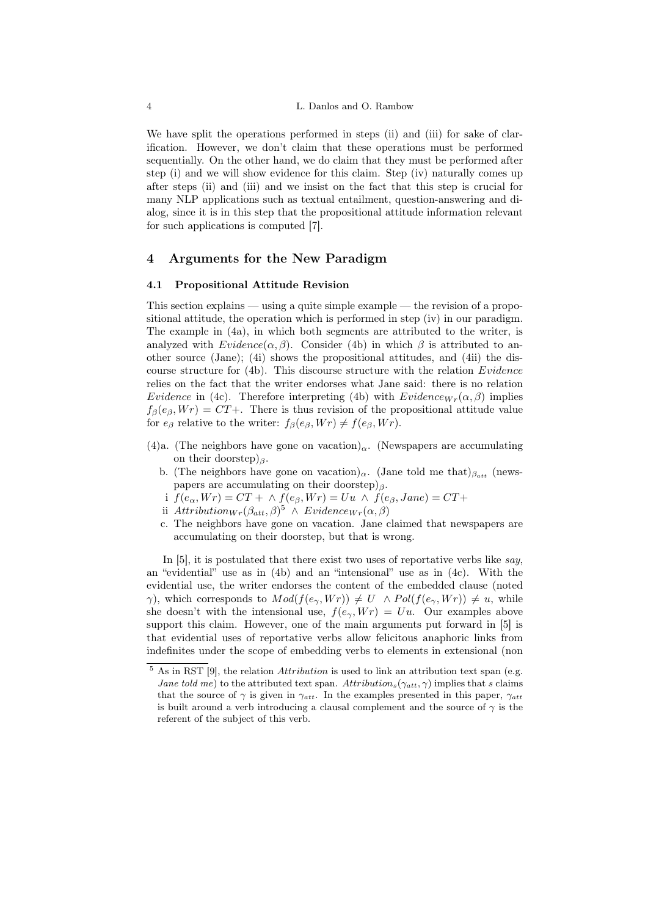We have split the operations performed in steps (ii) and (iii) for sake of clarification. However, we don't claim that these operations must be performed sequentially. On the other hand, we do claim that they must be performed after step (i) and we will show evidence for this claim. Step (iv) naturally comes up after steps (ii) and (iii) and we insist on the fact that this step is crucial for many NLP applications such as textual entailment, question-answering and dialog, since it is in this step that the propositional attitude information relevant for such applications is computed [7].

#### 4 Arguments for the New Paradigm

#### 4.1 Propositional Attitude Revision

This section explains — using a quite simple example — the revision of a propositional attitude, the operation which is performed in step (iv) in our paradigm. The example in (4a), in which both segments are attributed to the writer, is analyzed with  $Evidence(\alpha, \beta)$ . Consider (4b) in which  $\beta$  is attributed to another source (Jane); (4i) shows the propositional attitudes, and (4ii) the discourse structure for (4b). This discourse structure with the relation Evidence relies on the fact that the writer endorses what Jane said: there is no relation Evidence in (4c). Therefore interpreting (4b) with  $Evidence_{Wr}(\alpha, \beta)$  implies  $f_{\beta}(e_{\beta}, Wr) = CT +$ . There is thus revision of the propositional attitude value for  $e_{\beta}$  relative to the writer:  $f_{\beta}(e_{\beta}, Wr) \neq f(e_{\beta}, Wr)$ .

- (4)a. (The neighbors have gone on vacation)<sub>α</sub>. (Newspapers are accumulating on their doorstep) $\beta$ .
	- b. (The neighbors have gone on vacation)<sub>α</sub>. (Jane told me that)<sub> $\beta_{\alpha t}$ </sub> (newspapers are accumulating on their doorstep) $\beta$ .
	- i  $f(e_{\alpha}, Wr) = CT + \wedge f(e_{\beta}, Wr) = Uu \wedge f(e_{\beta}, Jane) = CT +$
	- ii  $Attention_{Wr}(\beta_{att}, \beta)^5 \wedge Evidence_{Wr}(\alpha, \beta)$
	- c. The neighbors have gone on vacation. Jane claimed that newspapers are accumulating on their doorstep, but that is wrong.

In [5], it is postulated that there exist two uses of reportative verbs like say, an "evidential" use as in (4b) and an "intensional" use as in (4c). With the evidential use, the writer endorses the content of the embedded clause (noted  $\gamma$ ), which corresponds to  $Mod(f(e_{\gamma}, Wr)) \neq U \land Pol(f(e_{\gamma}, Wr)) \neq u$ , while she doesn't with the intensional use,  $f(e_\gamma, Wr) = Uu$ . Our examples above support this claim. However, one of the main arguments put forward in [5] is that evidential uses of reportative verbs allow felicitous anaphoric links from indefinites under the scope of embedding verbs to elements in extensional (non

 $5$  As in RST [9], the relation *Attribution* is used to link an attribution text span (e.g. *Jane told me*) to the attributed text span.  $Attention_s(\gamma_{att}, \gamma)$  implies that s claims that the source of  $\gamma$  is given in  $\gamma_{att}$ . In the examples presented in this paper,  $\gamma_{att}$ is built around a verb introducing a clausal complement and the source of  $\gamma$  is the referent of the subject of this verb.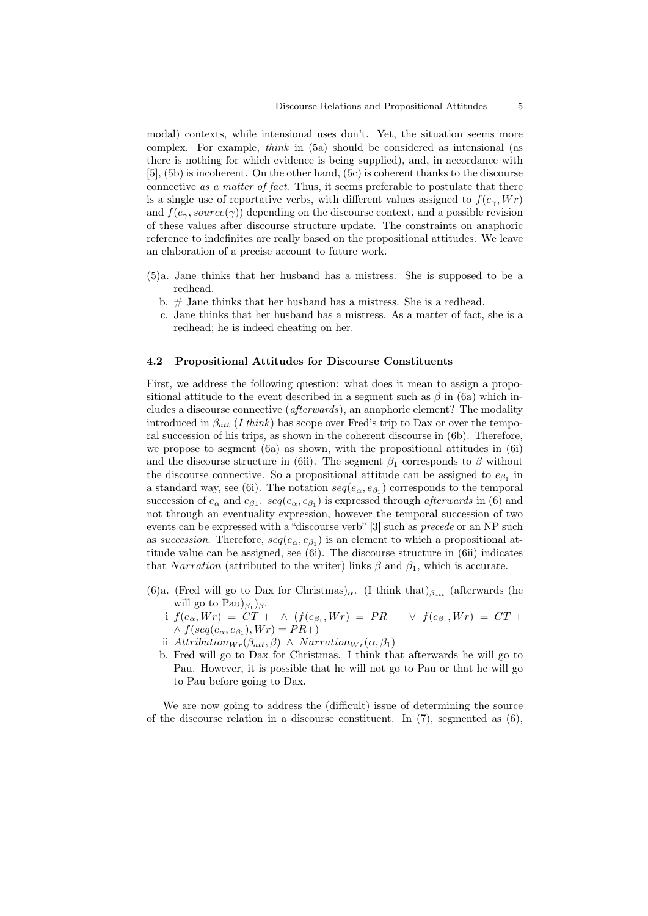modal) contexts, while intensional uses don't. Yet, the situation seems more complex. For example, think in (5a) should be considered as intensional (as there is nothing for which evidence is being supplied), and, in accordance with [5], (5b) is incoherent. On the other hand, (5c) is coherent thanks to the discourse connective as a matter of fact. Thus, it seems preferable to postulate that there is a single use of reportative verbs, with different values assigned to  $f(e<sub>\gamma</sub>, Wr)$ and  $f(e_\gamma, source(\gamma))$  depending on the discourse context, and a possible revision of these values after discourse structure update. The constraints on anaphoric reference to indefinites are really based on the propositional attitudes. We leave an elaboration of a precise account to future work.

- (5)a. Jane thinks that her husband has a mistress. She is supposed to be a redhead.
	- b. # Jane thinks that her husband has a mistress. She is a redhead.
	- c. Jane thinks that her husband has a mistress. As a matter of fact, she is a redhead; he is indeed cheating on her.

#### 4.2 Propositional Attitudes for Discourse Constituents

First, we address the following question: what does it mean to assign a propositional attitude to the event described in a segment such as  $\beta$  in (6a) which includes a discourse connective (afterwards), an anaphoric element? The modality introduced in  $\beta_{att}$  (I think) has scope over Fred's trip to Dax or over the temporal succession of his trips, as shown in the coherent discourse in (6b). Therefore, we propose to segment  $(6a)$  as shown, with the propositional attitudes in  $(6i)$ and the discourse structure in (6ii). The segment  $\beta_1$  corresponds to  $\beta$  without the discourse connective. So a propositional attitude can be assigned to  $e_{\beta_1}$  in a standard way, see (6i). The notation  $seq(e_\alpha, e_{\beta_1})$  corresponds to the temporal succession of  $e_{\alpha}$  and  $e_{\beta 1}$ .  $seq(e_{\alpha}, e_{\beta_1})$  is expressed through *afterwards* in (6) and not through an eventuality expression, however the temporal succession of two events can be expressed with a "discourse verb" [3] such as precede or an NP such as succession. Therefore,  $seq(e_{\alpha}, e_{\beta_1})$  is an element to which a propositional attitude value can be assigned, see (6i). The discourse structure in (6ii) indicates that Narration (attributed to the writer) links  $\beta$  and  $\beta_1$ , which is accurate.

- (6)a. (Fred will go to Dax for Christmas)<sub>α</sub>. (I think that)<sub> $\beta_{att}$ </sub> (afterwards (he will go to  $\text{Pau}|_{\beta_1}$ )<sub>β</sub>.
	- i  $f(e_{\alpha}, Wr) = CT + \wedge (f(e_{\beta_1}, Wr) = PR + \vee f(e_{\beta_1}, Wr) = CT +$  $\wedge f(seq(e_{\alpha}, e_{\beta_1}), Wr) = PR+$ )
	- ii  $Attention_{Wr}(\beta_{att}, \beta) \wedge Variantion_{Wr}(\alpha, \beta_1)$
	- b. Fred will go to Dax for Christmas. I think that afterwards he will go to Pau. However, it is possible that he will not go to Pau or that he will go to Pau before going to Dax.

We are now going to address the (difficult) issue of determining the source of the discourse relation in a discourse constituent. In  $(7)$ , segmented as  $(6)$ ,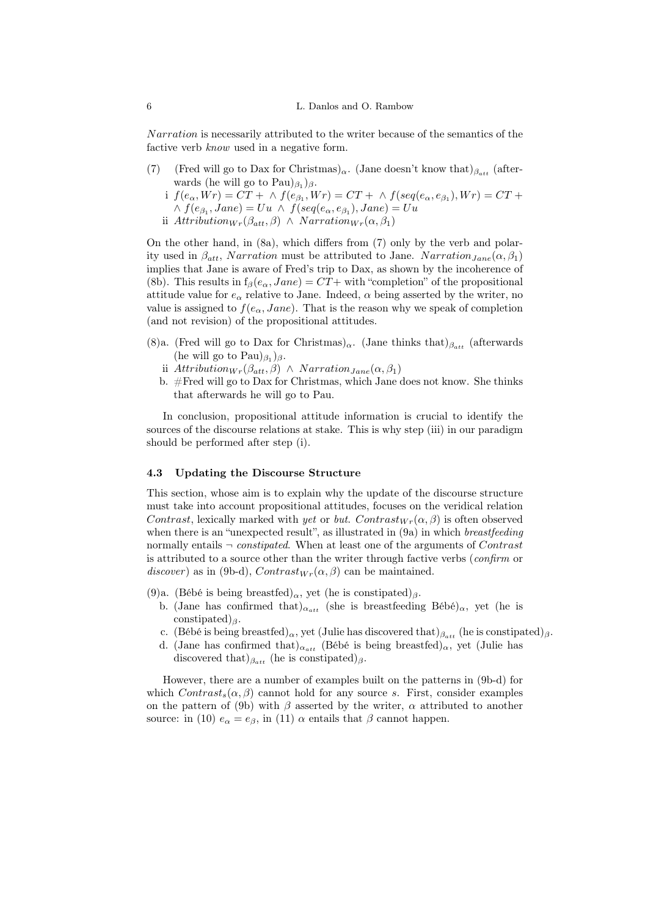Narration is necessarily attributed to the writer because of the semantics of the factive verb know used in a negative form.

- (7) (Fred will go to Dax for Christmas)<sub>α</sub>. (Jane doesn't know that)<sub> $\beta_{att}$ </sub> (afterwards (he will go to  $Pau)_{\beta_1}$ )<sub>β</sub>.
	- i  $f(e_{\alpha}, Wr) = CT + \wedge f(e_{\beta_1}, Wr) = CT + \wedge f(seq(e_{\alpha}, e_{\beta_1}), Wr) = CT +$  $\wedge f(e_{\beta_1}, Jane) = Uu \wedge f(seq(e_{\alpha}, e_{\beta_1}), Jane) = Uu$
	- ii  $Attention_{Wr}(\beta_{att}, \beta) \wedge Variation_{Wr}(\alpha, \beta_1)$

On the other hand, in (8a), which differs from (7) only by the verb and polarity used in  $\beta_{att}$ , Narration must be attributed to Jane. Narration<sub>Jane</sub>( $\alpha, \beta_1$ ) implies that Jane is aware of Fred's trip to Dax, as shown by the incoherence of (8b). This results in  $f_\beta(e_\alpha, Jane) = CT +$  with "completion" of the propositional attitude value for  $e_{\alpha}$  relative to Jane. Indeed,  $\alpha$  being asserted by the writer, no value is assigned to  $f(e_{\alpha}, Jane)$ . That is the reason why we speak of completion (and not revision) of the propositional attitudes.

- (8)a. (Fred will go to Dax for Christmas)<sub>α</sub>. (Jane thinks that)<sub> $\beta_{att}$ </sub> (afterwards (he will go to Pau) $_{\beta_1})_{\beta}$ .
	- ii  $Attributeion_{Wr}(\beta_{att}, \beta) \wedge Narration_{Jane}(\alpha, \beta_1)$
	- b.  $#Fred$  will go to Dax for Christmas, which Jane does not know. She thinks that afterwards he will go to Pau.

In conclusion, propositional attitude information is crucial to identify the sources of the discourse relations at stake. This is why step (iii) in our paradigm should be performed after step (i).

#### 4.3 Updating the Discourse Structure

This section, whose aim is to explain why the update of the discourse structure must take into account propositional attitudes, focuses on the veridical relation Contrast, lexically marked with yet or but. Contrast $w_r(\alpha, \beta)$  is often observed when there is an "unexpected result", as illustrated in  $(9a)$  in which *breastfeeding* normally entails  $\neg$  constipated. When at least one of the arguments of Contrast is attributed to a source other than the writer through factive verbs (confirm or discover) as in (9b-d),  $Contrast_{Wr}(\alpha, \beta)$  can be maintained.

- (9)a. (Bébé is being breastfed)<sub>α</sub>, yet (he is constipated)<sub>β</sub>.
	- b. (Jane has confirmed that)<sub>αatt</sub> (she is breastfeeding Bébé)<sub>α</sub>, yet (he is constipated) $\beta$ .
	- c. (Bébé is being breastfed)<sub>α</sub>, yet (Julie has discovered that)<sub>βatt</sub> (he is constipated)<sub>β</sub>.
	- d. (Jane has confirmed that)<sub> $\alpha_{att}$ </sub> (Bébé is being breastfed)<sub>α</sub>, yet (Julie has discovered that) $_{\beta_{att}}$  (he is constipated)<sub>β</sub>.

However, there are a number of examples built on the patterns in (9b-d) for which  $Contrast_{s}(\alpha, \beta)$  cannot hold for any source s. First, consider examples on the pattern of (9b) with  $\beta$  asserted by the writer,  $\alpha$  attributed to another source: in (10)  $e_{\alpha} = e_{\beta}$ , in (11)  $\alpha$  entails that  $\beta$  cannot happen.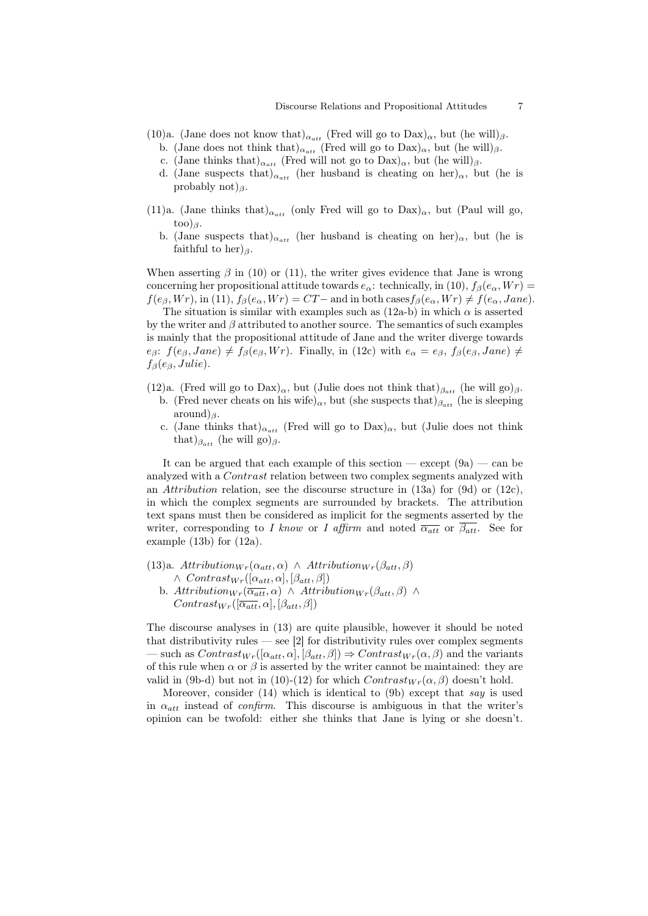- (10)a. (Jane does not know that) $\alpha_{att}$  (Fred will go to Dax)<sub>α</sub>, but (he will)<sub>β</sub>. b. (Jane does not think that)<sub> $\alpha_{att}$ </sub> (Fred will go to Dax)<sub>α</sub>, but (he will)<sub>β</sub>.
	- c. (Jane thinks that) $\alpha_{att}$  (Fred will not go to Dax)<sub>α</sub>, but (he will)<sub>β</sub>.
	- d. (Jane suspects that)<sub>α<sub>att</sub> (her husband is cheating on her)<sub>α</sub>, but (he is</sub>

probably not) $\beta$ .

- (11)a. (Jane thinks that)<sub> $\alpha_{att}$ </sub> (only Fred will go to Dax)<sub>α</sub>, but (Paul will go,  $\text{too})_{\beta}$ .
	- b. (Jane suspects that)<sub> $\alpha_{att}$ </sub> (her husband is cheating on her)<sub>α</sub>, but (he is faithful to her) $\beta$ .

When asserting  $\beta$  in (10) or (11), the writer gives evidence that Jane is wrong concerning her propositional attitude towards  $e_{\alpha}$ : technically, in (10),  $f_{\beta}(e_{\alpha}, Wr)$  =  $f(e_\beta, Wr)$ , in (11),  $f_\beta(e_\alpha, Wr) = CT$  and in both cases  $f_\beta(e_\alpha, Wr) \neq f(e_\alpha, Jane)$ .

The situation is similar with examples such as  $(12a-b)$  in which  $\alpha$  is asserted by the writer and  $\beta$  attributed to another source. The semantics of such examples is mainly that the propositional attitude of Jane and the writer diverge towards e<sub>β</sub>:  $f(e_\beta, Jane) \neq f_\beta(e_\beta, Wr)$ . Finally, in (12c) with  $e_\alpha = e_\beta, f_\beta(e_\beta, Jane) \neq$  $f_{\beta}(e_{\beta}, Julie).$ 

- (12)a. (Fred will go to Dax)<sub>α</sub>, but (Julie does not think that)<sub>βatt</sub> (he will go)<sub>β</sub>.
	- b. (Fred never cheats on his wife)<sub>α</sub>, but (she suspects that)<sub> $\beta_{att}$ </sub> (he is sleeping  $around$ <sub>β</sub>.
	- c. (Jane thinks that) $\alpha_{att}$  (Fred will go to Dax)<sub>α</sub>, but (Julie does not think that) $_{\beta_{att}}$  (he will go) $_{\beta}$ .

It can be argued that each example of this section — except  $(9a)$  — can be analyzed with a Contrast relation between two complex segments analyzed with an *Attribution* relation, see the discourse structure in  $(13a)$  for  $(9d)$  or  $(12c)$ , in which the complex segments are surrounded by brackets. The attribution text spans must then be considered as implicit for the segments asserted by the writer, corresponding to I know or I affirm and noted  $\overline{\alpha_{att}}$  or  $\overline{\beta_{att}}$ . See for example (13b) for (12a).

- (13)a.  $Attributeion_{Wr}(\alpha_{att}, \alpha) \wedge Attribution_{Wr}(\beta_{att}, \beta)$  $\wedge$  Contrast<sub>Wr</sub>([ $\alpha_{att}, \alpha$ ], [ $\beta_{att}, \beta$ ]) b.  $Attributeing_{Wr}(\overline{\alpha_{att}}, \alpha) \wedge Attribution_{Wr}(\beta_{att}, \beta) \wedge$ 
	- $Contrast_{Wr}([\overline{\alpha_{att}}, \alpha], [\beta_{att}, \beta])$

The discourse analyses in (13) are quite plausible, however it should be noted that distributivity rules — see [2] for distributivity rules over complex segments — such as  $Contrast_{Wr}([\alpha_{att}, \alpha], [\beta_{att}, \beta]) \Rightarrow Contrast_{Wr}(\alpha, \beta)$  and the variants of this rule when  $\alpha$  or  $\beta$  is asserted by the writer cannot be maintained: they are valid in (9b-d) but not in (10)-(12) for which  $Contrast_{Wr}(\alpha, \beta)$  doesn't hold.

Moreover, consider  $(14)$  which is identical to  $(9b)$  except that say is used in  $\alpha_{att}$  instead of *confirm*. This discourse is ambiguous in that the writer's opinion can be twofold: either she thinks that Jane is lying or she doesn't.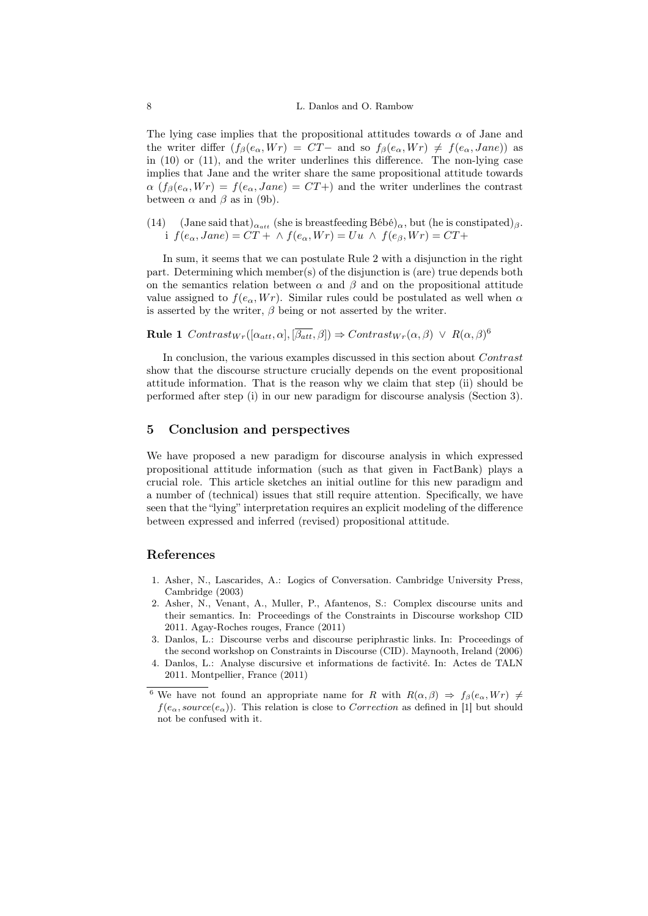The lying case implies that the propositional attitudes towards  $\alpha$  of Jane and the writer differ  $(f_\beta(e_\alpha, Wr) = CT-$  and so  $f_\beta(e_\alpha, Wr) \neq f(e_\alpha, Jane)$  as in (10) or (11), and the writer underlines this difference. The non-lying case implies that Jane and the writer share the same propositional attitude towards  $\alpha$  ( $f_{\beta}(e_{\alpha}, Wr) = f(e_{\alpha}, Jane) = CT+$ ) and the writer underlines the contrast between  $\alpha$  and  $\beta$  as in (9b).

(14) (Jane said that) $\alpha_{att}$  (she is breastfeeding Bébé)<sub>α</sub>, but (he is constipated)<sub>β</sub>. i  $f(e_\alpha, Jane) = CT + \wedge f(e_\alpha, Wr) = Uu \wedge f(e_\beta, Wr) = CT+$ 

In sum, it seems that we can postulate Rule 2 with a disjunction in the right part. Determining which member(s) of the disjunction is (are) true depends both on the semantics relation between  $\alpha$  and  $\beta$  and on the propositional attitude value assigned to  $f(e_\alpha, Wr)$ . Similar rules could be postulated as well when  $\alpha$ is asserted by the writer,  $\beta$  being or not asserted by the writer.

**Rule 1**  $Contrast_{Wr}([\alpha_{att}, \alpha], [\overline{\beta_{att}}, \beta]) \Rightarrow Contrast_{Wr}(\alpha, \beta) \vee R(\alpha, \beta)^6$ 

In conclusion, the various examples discussed in this section about Contrast show that the discourse structure crucially depends on the event propositional attitude information. That is the reason why we claim that step (ii) should be performed after step (i) in our new paradigm for discourse analysis (Section 3).

### 5 Conclusion and perspectives

We have proposed a new paradigm for discourse analysis in which expressed propositional attitude information (such as that given in FactBank) plays a crucial role. This article sketches an initial outline for this new paradigm and a number of (technical) issues that still require attention. Specifically, we have seen that the "lying" interpretation requires an explicit modeling of the difference between expressed and inferred (revised) propositional attitude.

## References

- 1. Asher, N., Lascarides, A.: Logics of Conversation. Cambridge University Press, Cambridge (2003)
- 2. Asher, N., Venant, A., Muller, P., Afantenos, S.: Complex discourse units and their semantics. In: Proceedings of the Constraints in Discourse workshop CID 2011. Agay-Roches rouges, France (2011)
- 3. Danlos, L.: Discourse verbs and discourse periphrastic links. In: Proceedings of the second workshop on Constraints in Discourse (CID). Maynooth, Ireland (2006)
- 4. Danlos, L.: Analyse discursive et informations de factivité. In: Actes de TALN 2011. Montpellier, France (2011)
- <sup>6</sup> We have not found an appropriate name for R with  $R(\alpha, \beta) \Rightarrow f_{\beta}(e_{\alpha}, Wr) \neq$  $f(e_\alpha, source(e_\alpha))$ . This relation is close to Correction as defined in [1] but should not be confused with it.